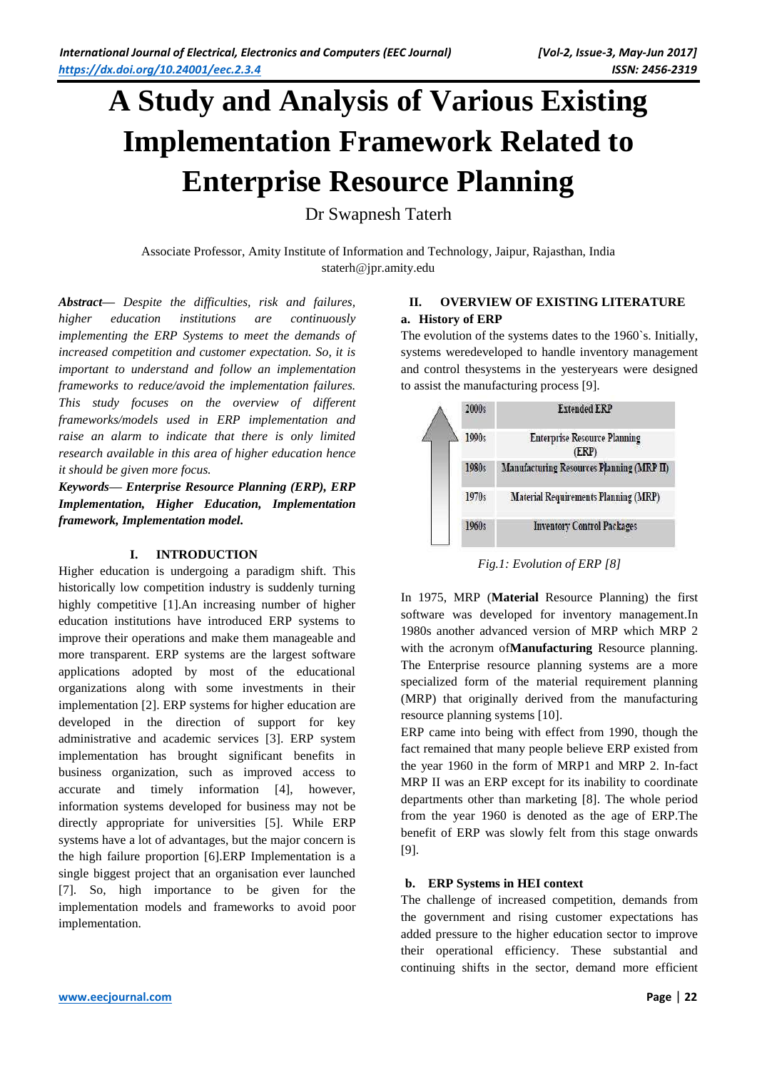# **A Study and Analysis of Various Existing Implementation Framework Related to Enterprise Resource Planning**

Dr Swapnesh Taterh

Associate Professor, Amity Institute of Information and Technology, Jaipur, Rajasthan, India staterh@jpr.amity.edu

*Abstract— Despite the difficulties, risk and failures, higher education institutions are continuously implementing the ERP Systems to meet the demands of increased competition and customer expectation. So, it is important to understand and follow an implementation frameworks to reduce/avoid the implementation failures. This study focuses on the overview of different frameworks/models used in ERP implementation and raise an alarm to indicate that there is only limited research available in this area of higher education hence it should be given more focus.* 

*Keywords— Enterprise Resource Planning (ERP), ERP Implementation, Higher Education, Implementation framework, Implementation model.*

# **I. INTRODUCTION**

Higher education is undergoing a paradigm shift. This historically low competition industry is suddenly turning highly competitive [1].An increasing number of higher education institutions have introduced ERP systems to improve their operations and make them manageable and more transparent. ERP systems are the largest software applications adopted by most of the educational organizations along with some investments in their implementation [2]. ERP systems for higher education are developed in the direction of support for key administrative and academic services [3]. ERP system implementation has brought significant benefits in business organization, such as improved access to accurate and timely information [4], however, information systems developed for business may not be directly appropriate for universities [5]. While ERP systems have a lot of advantages, but the major concern is the high failure proportion [6].ERP Implementation is a single biggest project that an organisation ever launched [7]. So, high importance to be given for the implementation models and frameworks to avoid poor implementation.

## **II. OVERVIEW OF EXISTING LITERATURE a. History of ERP**

The evolution of the systems dates to the 1960`s. Initially, systems weredeveloped to handle inventory management and control thesystems in the yesteryears were designed to assist the manufacturing process [9].



*Fig.1: Evolution of ERP [8]*

In 1975, MRP (**Material** Resource Planning) the first software was developed for inventory management.In 1980s another advanced version of MRP which MRP 2 with the acronym of**Manufacturing** Resource planning. The Enterprise resource planning systems are a more specialized form of the material requirement planning (MRP) that originally derived from the manufacturing resource planning systems [10].

ERP came into being with effect from 1990, though the fact remained that many people believe ERP existed from the year 1960 in the form of MRP1 and MRP 2. In-fact MRP II was an ERP except for its inability to coordinate departments other than marketing [8]. The whole period from the year 1960 is denoted as the age of ERP.The benefit of ERP was slowly felt from this stage onwards [9].

# **b. ERP Systems in HEI context**

The challenge of increased competition, demands from the government and rising customer expectations has added pressure to the higher education sector to improve their operational efficiency. These substantial and continuing shifts in the sector, demand more efficient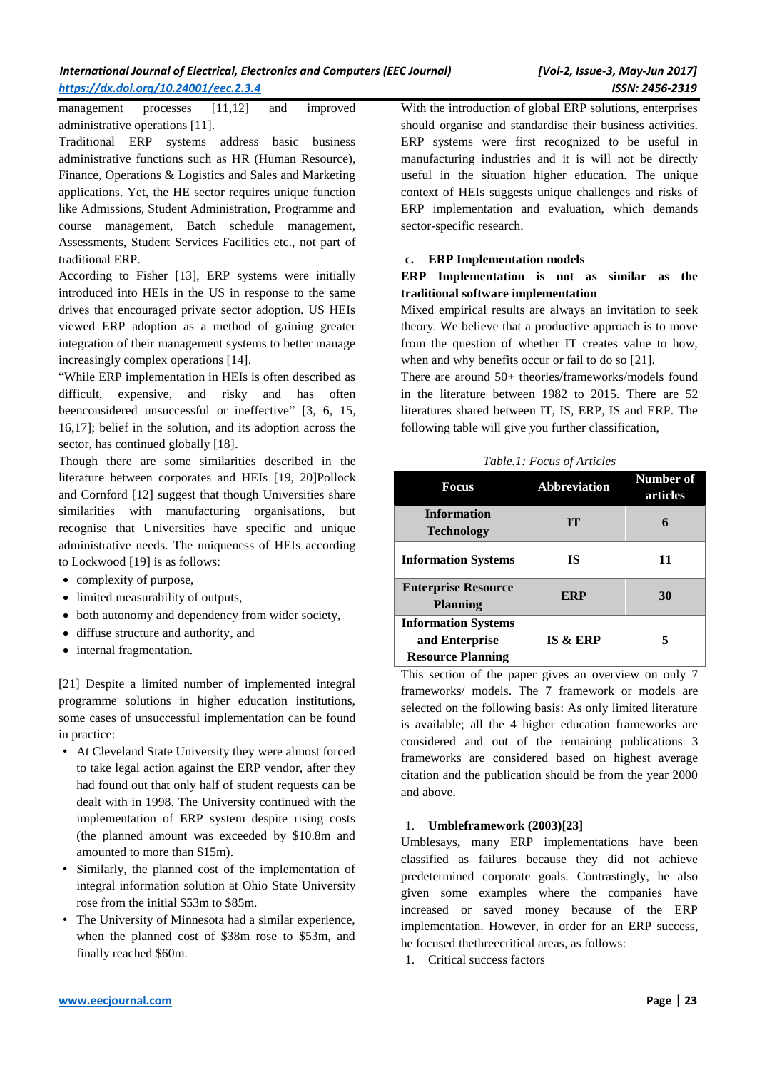management processes [11,12] and improved administrative operations [11].

Traditional ERP systems address basic business administrative functions such as HR (Human Resource), Finance, Operations & Logistics and Sales and Marketing applications. Yet, the HE sector requires unique function like Admissions, Student Administration, Programme and course management, Batch schedule management, Assessments, Student Services Facilities etc., not part of traditional ERP.

According to Fisher [13], ERP systems were initially introduced into HEIs in the US in response to the same drives that encouraged private sector adoption. US HEIs viewed ERP adoption as a method of gaining greater integration of their management systems to better manage increasingly complex operations [14].

"While ERP implementation in HEIs is often described as difficult, expensive, and risky and has often beenconsidered unsuccessful or ineffective" [3, 6, 15, 16,17]; belief in the solution, and its adoption across the sector, has continued globally [18].

Though there are some similarities described in the literature between corporates and HEIs [19, 20]Pollock and Cornford [12] suggest that though Universities share similarities with manufacturing organisations, but recognise that Universities have specific and unique administrative needs. The uniqueness of HEIs according to Lockwood [19] is as follows:

- complexity of purpose,
- limited measurability of outputs,
- both autonomy and dependency from wider society,
- diffuse structure and authority, and
- internal fragmentation.

[21] Despite a limited number of implemented integral programme solutions in higher education institutions, some cases of unsuccessful implementation can be found in practice:

- At Cleveland State University they were almost forced to take legal action against the ERP vendor, after they had found out that only half of student requests can be dealt with in 1998. The University continued with the implementation of ERP system despite rising costs (the planned amount was exceeded by \$10.8m and amounted to more than \$15m).
- Similarly, the planned cost of the implementation of integral information solution at Ohio State University rose from the initial \$53m to \$85m.
- The University of Minnesota had a similar experience, when the planned cost of \$38m rose to \$53m, and finally reached \$60m.

With the introduction of global ERP solutions, enterprises should organise and standardise their business activities. ERP systems were first recognized to be useful in manufacturing industries and it is will not be directly useful in the situation higher education. The unique context of HEIs suggests unique challenges and risks of ERP implementation and evaluation, which demands sector-specific research.

#### **c. ERP Implementation models**

## **ERP Implementation is not as similar as the traditional software implementation**

Mixed empirical results are always an invitation to seek theory. We believe that a productive approach is to move from the question of whether IT creates value to how, when and why benefits occur or fail to do so [21].

There are around 50+ theories/frameworks/models found in the literature between 1982 to 2015. There are 52 literatures shared between IT, IS, ERP, IS and ERP. The following table will give you further classification,

*Table.1: Focus of Articles*

| Focus                                                                    | <b>Abbreviation</b> | Number of<br>articles |
|--------------------------------------------------------------------------|---------------------|-----------------------|
| <b>Information</b><br><b>Technology</b>                                  | TТ                  |                       |
| <b>Information Systems</b>                                               | <b>IS</b>           | 11                    |
| <b>Enterprise Resource</b><br><b>Planning</b>                            | ERP                 | 30                    |
| <b>Information Systems</b><br>and Enterprise<br><b>Resource Planning</b> | <b>IS &amp; ERP</b> |                       |

This section of the paper gives an overview on only 7 frameworks/ models. The 7 framework or models are selected on the following basis: As only limited literature is available; all the 4 higher education frameworks are considered and out of the remaining publications 3 frameworks are considered based on highest average citation and the publication should be from the year 2000 and above.

#### 1. **Umbleframework (2003)[23]**

Umblesays**,** many ERP implementations have been classified as failures because they did not achieve predetermined corporate goals. Contrastingly, he also given some examples where the companies have increased or saved money because of the ERP implementation. However, in order for an ERP success, he focused thethreecritical areas, as follows:

1. Critical success factors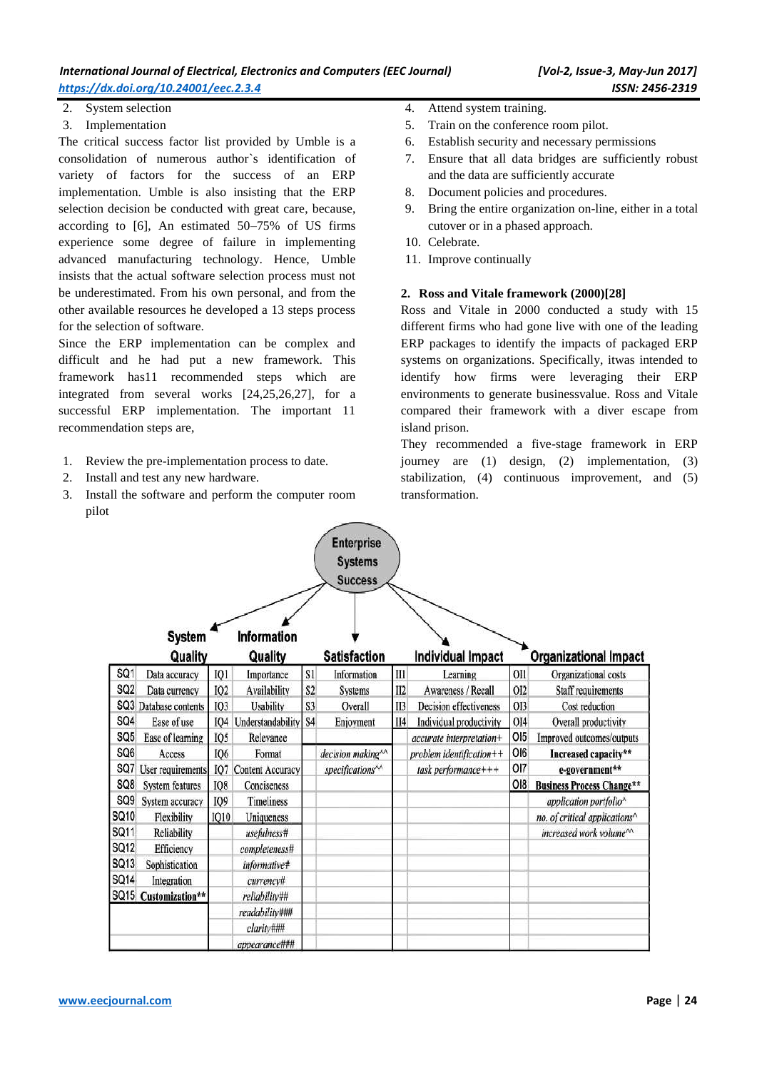| International Journal of Electrical, Electronics and Computers (EEC Journal) |
|------------------------------------------------------------------------------|
| https://dx.doi.org/10.24001/eec.2.3.4                                        |

- 2. System selection
- 3. Implementation

The critical success factor list provided by Umble is a consolidation of numerous author`s identification of variety of factors for the success of an ERP implementation. Umble is also insisting that the ERP selection decision be conducted with great care, because, according to [6], An estimated 50–75% of US firms experience some degree of failure in implementing advanced manufacturing technology. Hence, Umble insists that the actual software selection process must not be underestimated. From his own personal, and from the other available resources he developed a 13 steps process for the selection of software.

Since the ERP implementation can be complex and difficult and he had put a new framework. This framework has11 recommended steps which are integrated from several works [24,25,26,27], for a successful ERP implementation. The important 11 recommendation steps are,

- 1. Review the pre-implementation process to date.
- 2. Install and test any new hardware.
- 3. Install the software and perform the computer room pilot
- 4. Attend system training.
- 5. Train on the conference room pilot.
- 6. Establish security and necessary permissions
- 7. Ensure that all data bridges are sufficiently robust and the data are sufficiently accurate
- 8. Document policies and procedures.
- 9. Bring the entire organization on-line, either in a total cutover or in a phased approach.
- 10. Celebrate.
- 11. Improve continually

#### **2. Ross and Vitale framework (2000)[28]**

Ross and Vitale in 2000 conducted a study with 15 different firms who had gone live with one of the leading ERP packages to identify the impacts of packaged ERP systems on organizations. Specifically, itwas intended to identify how firms were leveraging their ERP environments to generate businessvalue. Ross and Vitale compared their framework with a diver escape from island prison.

They recommended a five-stage framework in ERP journey are (1) design, (2) implementation, (3) stabilization, (4) continuous improvement, and (5) transformation.

|                 |                        |                 |                         |                | <b>Enterprise</b>             |     |                               |                 |                                                    |
|-----------------|------------------------|-----------------|-------------------------|----------------|-------------------------------|-----|-------------------------------|-----------------|----------------------------------------------------|
|                 |                        |                 |                         |                | <b>Systems</b>                |     |                               |                 |                                                    |
|                 |                        |                 |                         |                | <b>Success</b>                |     |                               |                 |                                                    |
|                 |                        |                 |                         |                |                               |     |                               |                 |                                                    |
|                 |                        |                 |                         |                |                               |     |                               |                 |                                                    |
|                 | <b>System</b>          |                 | Information             |                |                               |     |                               |                 |                                                    |
|                 | Quality                |                 | Quality                 |                | <b>Satisfaction</b>           |     | <b>Individual Impact</b>      |                 | <b>Organizational Impact</b>                       |
| SQ1             | Data accuracy          | IO <sub>1</sub> | Importance              | S1             | Information                   | II1 | Learning                      | OI1             | Organizational costs                               |
| SQ <sub>2</sub> | Data currency          | IO2             | Availability            | S <sub>2</sub> | <b>Systems</b>                | II2 | Awareness / Recall            | OI <sub>2</sub> | <b>Staff requirements</b>                          |
|                 | SQ3 Database contents  | IQ3             | Usability               | S <sub>3</sub> | Overall                       | II3 | <b>Decision effectiveness</b> | OI3             | Cost reduction                                     |
| SQ4             | Ease of use            | IQ4             | Understandability       | S <sub>4</sub> | Enjoyment                     | II4 | Individual productivity       | OI4             | Overall productivity                               |
| SQ <sub>5</sub> | Ease of learning       | IQ5             | Relevance               |                |                               |     | accurate interpretation+      | OI <sub>5</sub> | Improved outcomes/outputs                          |
| SQ6             | Access                 | 106             | Format                  |                | decision making <sup>^^</sup> |     | problem identification++      | OI6             | Increased capacity**                               |
| SQ7             | User requirements      | IQ7             | <b>Content Accuracy</b> |                | specifications <sup>11</sup>  |     | task performance+++           | OI7             | e-government**                                     |
| SQ8             | <b>System features</b> | IQ8             | Conciseness             |                |                               |     |                               | OI8             | <b>Business Process Change**</b>                   |
| SQ <sub>9</sub> | System accuracy        | IQ9             | <b>Timeliness</b>       |                |                               |     |                               |                 | application portfolio <sup>^</sup>                 |
| SQ10            | Flexibility            | <b>IQ10</b>     | Uniqueness              |                |                               |     |                               |                 | no. of critical applications^                      |
| SQ11            | Reliability            |                 | usefulness#             |                |                               |     |                               |                 | increased work volume <sup><math>\sim</math></sup> |
| SQ12            | Efficiency             |                 | completeness#           |                |                               |     |                               |                 |                                                    |
| SQ13            | Sophistication         |                 | informative#            |                |                               |     |                               |                 |                                                    |
| SQ14            | Integration            |                 | currency#               |                |                               |     |                               |                 |                                                    |
|                 | SQ15 Customization**   |                 | reliability##           |                |                               |     |                               |                 |                                                    |
|                 |                        |                 | readability###          |                |                               |     |                               |                 |                                                    |
|                 |                        |                 | clarity###              |                |                               |     |                               |                 |                                                    |
|                 |                        |                 | appearance###           |                |                               |     |                               |                 |                                                    |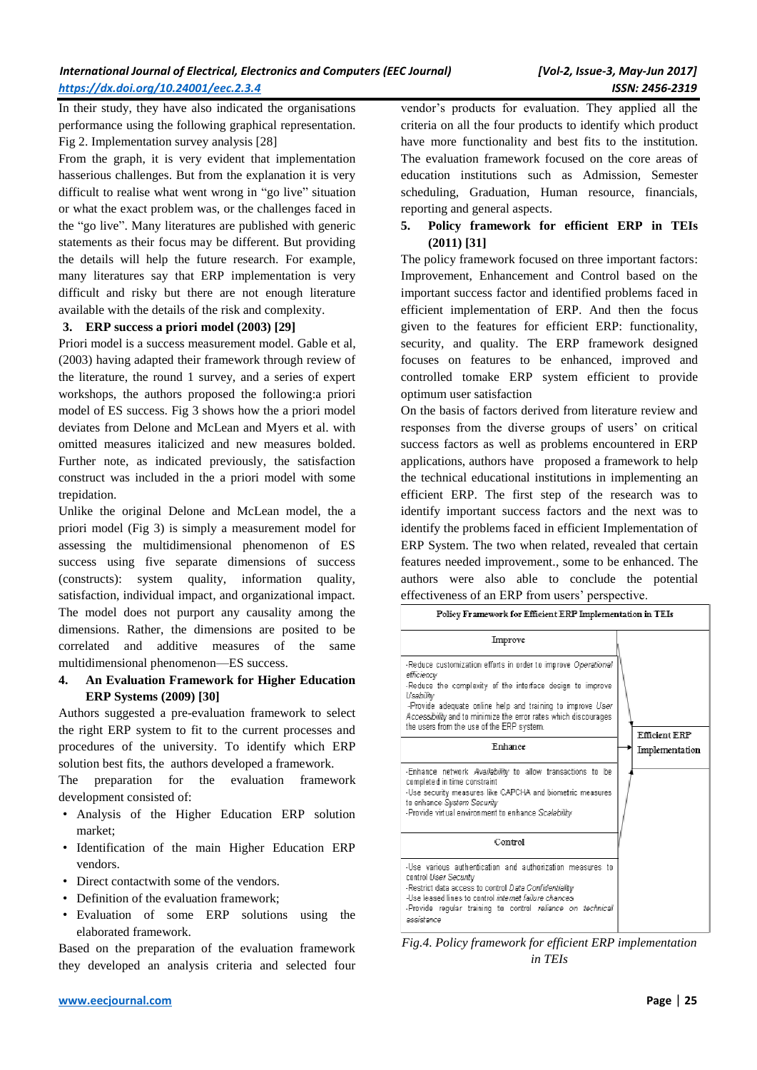In their study, they have also indicated the organisations performance using the following graphical representation. Fig 2. Implementation survey analysis [28]

From the graph, it is very evident that implementation hasserious challenges. But from the explanation it is very difficult to realise what went wrong in "go live" situation or what the exact problem was, or the challenges faced in the "go live". Many literatures are published with generic statements as their focus may be different. But providing the details will help the future research. For example, many literatures say that ERP implementation is very difficult and risky but there are not enough literature available with the details of the risk and complexity.

#### **3. ERP success a priori model (2003) [29]**

Priori model is a success measurement model. Gable et al, (2003) having adapted their framework through review of the literature, the round 1 survey, and a series of expert workshops, the authors proposed the following:a priori model of ES success. Fig 3 shows how the a priori model deviates from Delone and McLean and Myers et al. with omitted measures italicized and new measures bolded. Further note, as indicated previously, the satisfaction construct was included in the a priori model with some trepidation.

Unlike the original Delone and McLean model, the a priori model (Fig 3) is simply a measurement model for assessing the multidimensional phenomenon of ES success using five separate dimensions of success (constructs): system quality, information quality, satisfaction, individual impact, and organizational impact. The model does not purport any causality among the dimensions. Rather, the dimensions are posited to be correlated and additive measures of the same multidimensional phenomenon—ES success.

### **4. An Evaluation Framework for Higher Education ERP Systems (2009) [30]**

Authors suggested a pre-evaluation framework to select the right ERP system to fit to the current processes and procedures of the university. To identify which ERP solution best fits, the authors developed a framework.

The preparation for the evaluation framework development consisted of:

- Analysis of the Higher Education ERP solution market;
- Identification of the main Higher Education ERP vendors.
- Direct contactwith some of the vendors.
- Definition of the evaluation framework:
- Evaluation of some ERP solutions using the elaborated framework.

Based on the preparation of the evaluation framework they developed an analysis criteria and selected four vendor's products for evaluation. They applied all the criteria on all the four products to identify which product have more functionality and best fits to the institution. The evaluation framework focused on the core areas of education institutions such as Admission, Semester scheduling, Graduation, Human resource, financials, reporting and general aspects.

## **5. Policy framework for efficient ERP in TEIs (2011) [31]**

The policy framework focused on three important factors: Improvement, Enhancement and Control based on the important success factor and identified problems faced in efficient implementation of ERP. And then the focus given to the features for efficient ERP: functionality, security, and quality. The ERP framework designed focuses on features to be enhanced, improved and controlled tomake ERP system efficient to provide optimum user satisfaction

On the basis of factors derived from literature review and responses from the diverse groups of users' on critical success factors as well as problems encountered in ERP applications, authors have proposed a framework to help the technical educational institutions in implementing an efficient ERP. The first step of the research was to identify important success factors and the next was to identify the problems faced in efficient Implementation of ERP System. The two when related, revealed that certain features needed improvement., some to be enhanced. The authors were also able to conclude the potential effectiveness of an ERP from users' perspective.

| Policy Framework for Efficient ERP Implementation in TEIs                                                                                                                                                                                                                                                                           |                                        |  |  |  |  |  |
|-------------------------------------------------------------------------------------------------------------------------------------------------------------------------------------------------------------------------------------------------------------------------------------------------------------------------------------|----------------------------------------|--|--|--|--|--|
| Improve                                                                                                                                                                                                                                                                                                                             |                                        |  |  |  |  |  |
| -Reduce customization efforts in order to improve Operational<br>efficiency<br>-Reduce the complexity of the interface design to improve<br>Usability<br>-Provide adequate online help and training to improve User<br>Accessibility and to minimize the error rates which discourages<br>the users from the use of the ERP system. |                                        |  |  |  |  |  |
| Enhance                                                                                                                                                                                                                                                                                                                             | <b>Efficient ERP</b><br>Implementation |  |  |  |  |  |
| -Enhance network Availability to allow transactions to be<br>completed in time constraint<br>-Use security measures like CAPCHA and biometric measures<br>to enhance System Security<br>-Provide virtual environment to enhance Scalability                                                                                         |                                        |  |  |  |  |  |
| Control                                                                                                                                                                                                                                                                                                                             |                                        |  |  |  |  |  |
| -Use various authentication and authorization measures to<br>control User Security<br>-Restrict data access to control Data Confidentiality<br>allse leased lines to control <i>internet failure chances</i><br>-Provide regular training to control reliance on technical<br>assistance                                            |                                        |  |  |  |  |  |

*Fig.4. Policy framework for efficient ERP implementation in TEIs*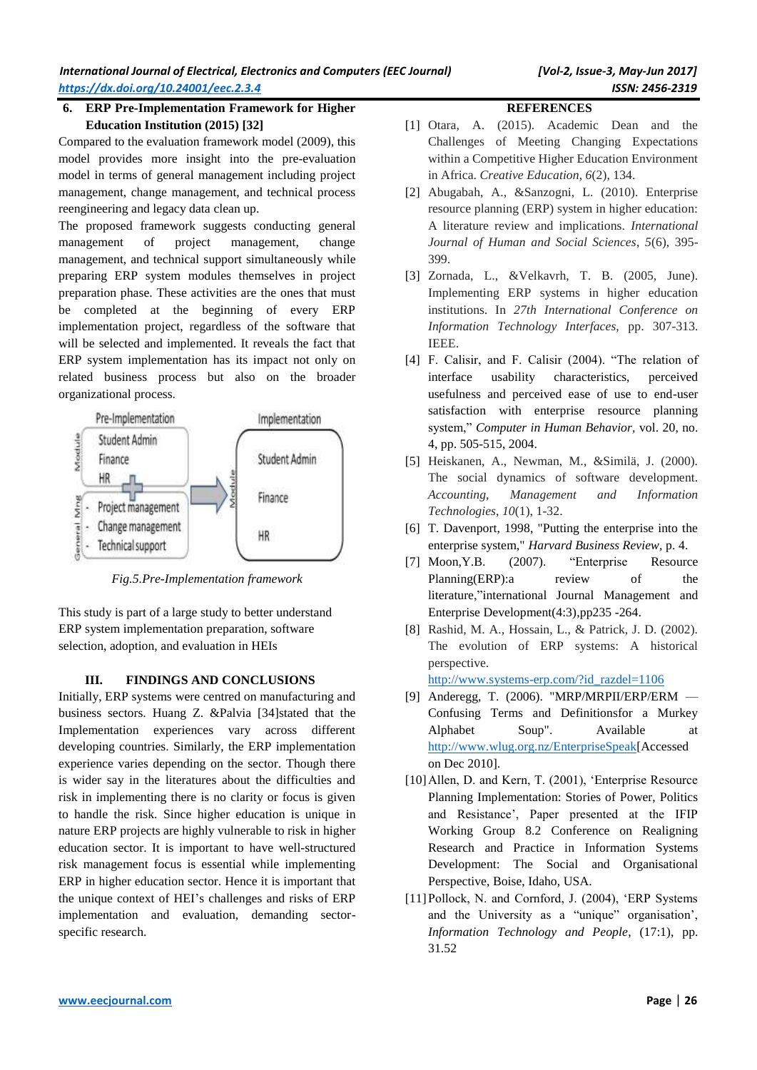# **6. ERP Pre-Implementation Framework for Higher Education Institution (2015) [32]**

Compared to the evaluation framework model (2009), this model provides more insight into the pre-evaluation model in terms of general management including project management, change management, and technical process reengineering and legacy data clean up.

The proposed framework suggests conducting general management of project management, change management, and technical support simultaneously while preparing ERP system modules themselves in project preparation phase. These activities are the ones that must be completed at the beginning of every ERP implementation project, regardless of the software that will be selected and implemented. It reveals the fact that ERP system implementation has its impact not only on related business process but also on the broader organizational process.



*Fig.5.Pre-Implementation framework*

This study is part of a large study to better understand ERP system implementation preparation, software selection, adoption, and evaluation in HEIs

# **III. FINDINGS AND CONCLUSIONS**

Initially, ERP systems were centred on manufacturing and business sectors. Huang Z. &Palvia [34]stated that the Implementation experiences vary across different developing countries. Similarly, the ERP implementation experience varies depending on the sector. Though there is wider say in the literatures about the difficulties and risk in implementing there is no clarity or focus is given to handle the risk. Since higher education is unique in nature ERP projects are highly vulnerable to risk in higher education sector. It is important to have well-structured risk management focus is essential while implementing ERP in higher education sector. Hence it is important that the unique context of HEI's challenges and risks of ERP implementation and evaluation, demanding sectorspecific research.

# **REFERENCES**

- [1] Otara, A. (2015). Academic Dean and the Challenges of Meeting Changing Expectations within a Competitive Higher Education Environment in Africa. *Creative Education*, *6*(2), 134.
- [2] Abugabah, A., &Sanzogni, L. (2010). Enterprise resource planning (ERP) system in higher education: A literature review and implications. *International Journal of Human and Social Sciences*, *5*(6), 395- 399.
- [3] Zornada, L., &Velkavrh, T. B. (2005, June). Implementing ERP systems in higher education institutions. In *27th International Conference on Information Technology Interfaces,* pp. 307-313. IEEE.
- [4] F. Calisir, and F. Calisir (2004). "The relation of interface usability characteristics, perceived usefulness and perceived ease of use to end-user satisfaction with enterprise resource planning system," *Computer in Human Behavior,* vol. 20, no. 4, pp. 505-515, 2004.
- [5] Heiskanen, A., Newman, M., &Similä, J. (2000). The social dynamics of software development. *Accounting, Management and Information Technologies*, *10*(1), 1-32.
- [6] T. Davenport, 1998, "Putting the enterprise into the enterprise system," *Harvard Business Review,* p. 4.
- [7] Moon,Y.B. (2007). "Enterprise Resource Planning(ERP): a review of the literature,"international Journal Management and Enterprise Development(4:3),pp235 -264.
- [8] Rashid, M. A., Hossain, L., & Patrick, J. D. (2002). The evolution of ERP systems: A historical perspective.

[http://www.systems-erp.com/?id\\_razdel=1106](http://www.systems-erp.com/?id_razdel=1106)

- [9] Anderegg, T. (2006). "MRP/MRPII/ERP/ERM Confusing Terms and Definitionsfor a Murkey Alphabet Soup". Available at [http://www.wlug.org.nz/EnterpriseSpeak\[](http://www.wlug.org.nz/EnterpriseSpeak)Accessed on Dec 2010].
- [10]Allen, D. and Kern, T. (2001), 'Enterprise Resource Planning Implementation: Stories of Power, Politics and Resistance', Paper presented at the IFIP Working Group 8.2 Conference on Realigning Research and Practice in Information Systems Development: The Social and Organisational Perspective, Boise, Idaho, USA.
- [11]Pollock, N. and Cornford, J. (2004), 'ERP Systems and the University as a "unique" organisation', *Information Technology and People*, (17:1), pp. 31.52